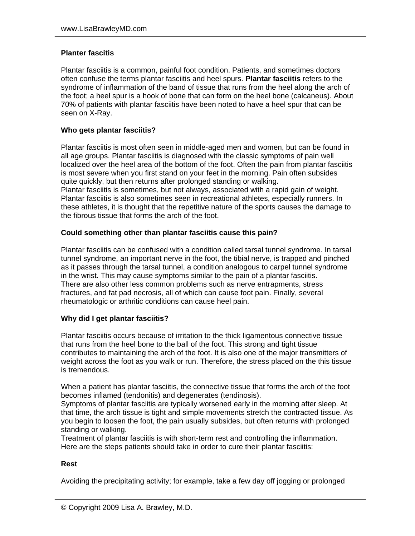## **Planter fascitis**

Plantar fasciitis is a common, painful foot condition. Patients, and sometimes doctors often confuse the terms plantar fasciitis and heel spurs. **Plantar fasciitis** refers to the syndrome of inflammation of the band of tissue that runs from the heel along the arch of the foot; a heel spur is a hook of bone that can form on the heel bone (calcaneus). About 70% of patients with plantar fasciitis have been noted to have a heel spur that can be seen on X-Ray.

# **Who gets plantar fasciitis?**

Plantar fasciitis is most often seen in middle-aged men and women, but can be found in all age groups. Plantar fasciitis is diagnosed with the classic symptoms of pain well localized over the heel area of the bottom of the foot. Often the pain from plantar fasciitis is most severe when you first stand on your feet in the morning. Pain often subsides quite quickly, but then returns after prolonged standing or walking. Plantar fasciitis is sometimes, but not always, associated with a rapid gain of weight. Plantar fasciitis is also sometimes seen in recreational athletes, especially runners. In these athletes, it is thought that the repetitive nature of the sports causes the damage to the fibrous tissue that forms the arch of the foot.

# **Could something other than plantar fasciitis cause this pain?**

Plantar fasciitis can be confused with a condition called tarsal tunnel syndrome. In tarsal tunnel syndrome, an important nerve in the foot, the tibial nerve, is trapped and pinched as it passes through the tarsal tunnel, a condition analogous to carpel tunnel syndrome in the wrist. This may cause symptoms similar to the pain of a plantar fasciitis. There are also other less common problems such as nerve entrapments, stress fractures, and fat pad necrosis, all of which can cause foot pain. Finally, several rheumatologic or arthritic conditions can cause heel pain.

### **Why did I get plantar fasciitis?**

Plantar fasciitis occurs because of irritation to the thick ligamentous connective tissue that runs from the heel bone to the ball of the foot. This strong and tight tissue contributes to maintaining the arch of the foot. It is also one of the major transmitters of weight across the foot as you walk or run. Therefore, the stress placed on the this tissue is tremendous.

When a patient has plantar fasciitis, the connective tissue that forms the arch of the foot becomes inflamed (tendonitis) and degenerates (tendinosis).

Symptoms of plantar fasciitis are typically worsened early in the morning after sleep. At that time, the arch tissue is tight and simple movements stretch the contracted tissue. As you begin to loosen the foot, the pain usually subsides, but often returns with prolonged standing or walking.

Treatment of plantar fasciitis is with short-term rest and controlling the inflammation. Here are the steps patients should take in order to cure their plantar fasciitis:

### **Rest**

Avoiding the precipitating activity; for example, take a few day off jogging or prolonged

<sup>©</sup> Copyright 2009 Lisa A. Brawley, M.D.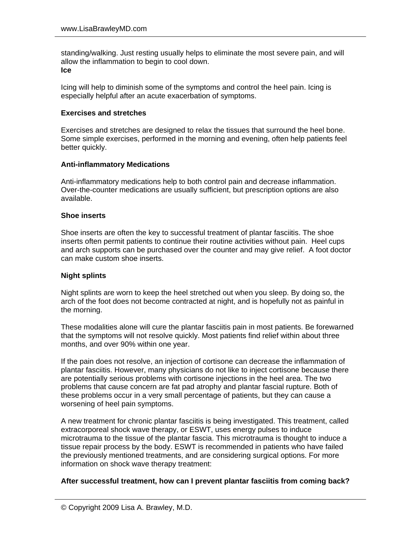standing/walking. Just resting usually helps to eliminate the most severe pain, and will allow the inflammation to begin to cool down. **Ice** 

# Icing will help to diminish some of the symptoms and control the heel pain. Icing is especially helpful after an acute exacerbation of symptoms.

# **Exercises and stretches**

Exercises and stretches are designed to relax the tissues that surround the heel bone. Some simple exercises, performed in the morning and evening, often help patients feel better quickly.

# **Anti-inflammatory Medications**

Anti-inflammatory medications help to both control pain and decrease inflammation. Over-the-counter medications are usually sufficient, but prescription options are also available.

## **Shoe inserts**

Shoe inserts are often the key to successful treatment of plantar fasciitis. The shoe inserts often permit patients to continue their routine activities without pain. Heel cups and arch supports can be purchased over the counter and may give relief. A foot doctor can make custom shoe inserts.

### **Night splints**

Night splints are worn to keep the heel stretched out when you sleep. By doing so, the arch of the foot does not become contracted at night, and is hopefully not as painful in the morning.

These modalities alone will cure the plantar fasciitis pain in most patients. Be forewarned that the symptoms will not resolve quickly. Most patients find relief within about three months, and over 90% within one year.

If the pain does not resolve, an injection of cortisone can decrease the inflammation of plantar fasciitis. However, many physicians do not like to inject cortisone because there are potentially serious problems with cortisone injections in the heel area. The two problems that cause concern are fat pad atrophy and plantar fascial rupture. Both of these problems occur in a very small percentage of patients, but they can cause a worsening of heel pain symptoms.

A new treatment for chronic plantar fasciitis is being investigated. This treatment, called extracorporeal shock wave therapy, or ESWT, uses energy pulses to induce microtrauma to the tissue of the plantar fascia. This microtrauma is thought to induce a tissue repair process by the body. ESWT is recommended in patients who have failed the previously mentioned treatments, and are considering surgical options. For more information on shock wave therapy treatment:

### **After successful treatment, how can I prevent plantar fasciitis from coming back?**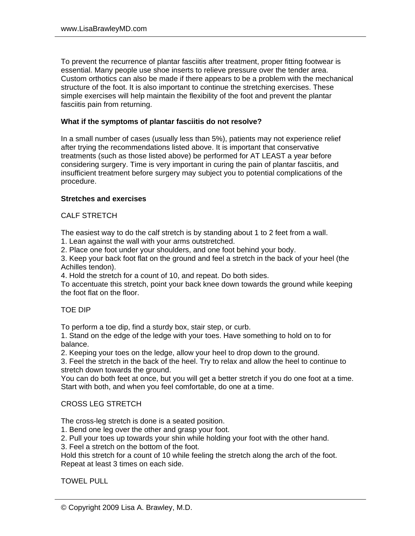To prevent the recurrence of plantar fasciitis after treatment, proper fitting footwear is essential. Many people use shoe inserts to relieve pressure over the tender area. Custom orthotics can also be made if there appears to be a problem with the mechanical structure of the foot. It is also important to continue the stretching exercises. These simple exercises will help maintain the flexibility of the foot and prevent the plantar fasciitis pain from returning.

#### **What if the symptoms of plantar fasciitis do not resolve?**

In a small number of cases (usually less than 5%), patients may not experience relief after trying the recommendations listed above. It is important that conservative treatments (such as those listed above) be performed for AT LEAST a year before considering surgery. Time is very important in curing the pain of plantar fasciitis, and insufficient treatment before surgery may subject you to potential complications of the procedure.

### **Stretches and exercises**

### CALF STRETCH

The easiest way to do the calf stretch is by standing about 1 to 2 feet from a wall.

1. Lean against the wall with your arms outstretched.

2. Place one foot under your shoulders, and one foot behind your body.

3. Keep your back foot flat on the ground and feel a stretch in the back of your heel (the Achilles tendon).

4. Hold the stretch for a count of 10, and repeat. Do both sides.

To accentuate this stretch, point your back knee down towards the ground while keeping the foot flat on the floor.

### TOE DIP

To perform a toe dip, find a sturdy box, stair step, or curb.

1. Stand on the edge of the ledge with your toes. Have something to hold on to for balance.

2. Keeping your toes on the ledge, allow your heel to drop down to the ground.

3. Feel the stretch in the back of the heel. Try to relax and allow the heel to continue to stretch down towards the ground.

You can do both feet at once, but you will get a better stretch if you do one foot at a time. Start with both, and when you feel comfortable, do one at a time.

### CROSS LEG STRETCH

The cross-leg stretch is done is a seated position.

1. Bend one leg over the other and grasp your foot.

2. Pull your toes up towards your shin while holding your foot with the other hand.

3. Feel a stretch on the bottom of the foot.

Hold this stretch for a count of 10 while feeling the stretch along the arch of the foot. Repeat at least 3 times on each side.

#### TOWEL PULL

<sup>©</sup> Copyright 2009 Lisa A. Brawley, M.D.